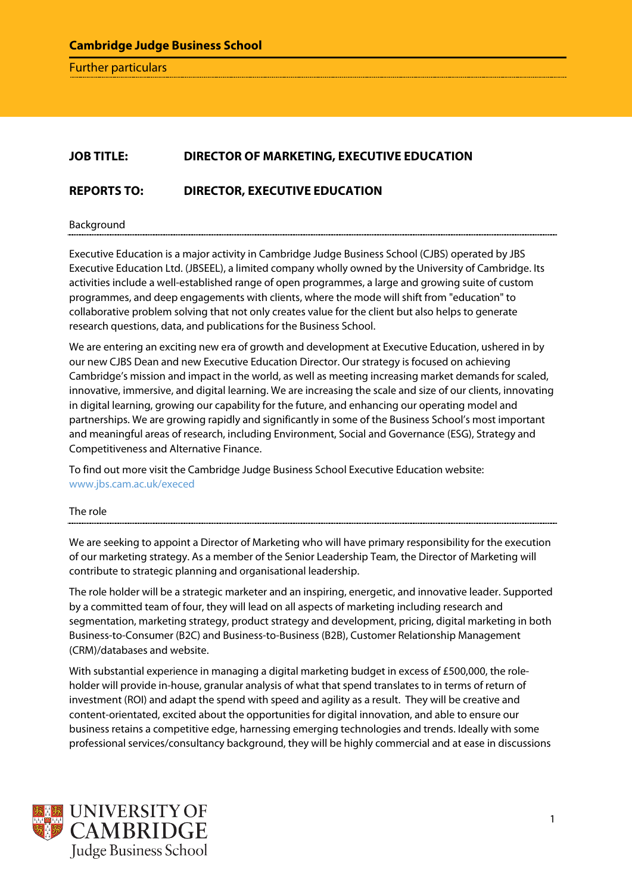Further particulars

# **JOB TITLE: DIRECTOR OF MARKETING, EXECUTIVE EDUCATION**

# **REPORTS TO: DIRECTOR, EXECUTIVE EDUCATION**

Background

Executive Education is a major activity in Cambridge Judge Business School (CJBS) operated by JBS Executive Education Ltd. (JBSEEL), a limited company wholly owned by the University of Cambridge. Its activities include a well-established range of open programmes, a large and growing suite of custom programmes, and deep engagements with clients, where the mode will shift from "education" to collaborative problem solving that not only creates value for the client but also helps to generate research questions, data, and publications for the Business School.

We are entering an exciting new era of growth and development at Executive Education, ushered in by our new CJBS Dean and new Executive Education Director. Our strategy is focused on achieving Cambridge's mission and impact in the world, as well as meeting increasing market demands for scaled, innovative, immersive, and digital learning. We are increasing the scale and size of our clients, innovating in digital learning, growing our capability for the future, and enhancing our operating model and partnerships. We are growing rapidly and significantly in some of the Business School's most important and meaningful areas of research, including Environment, Social and Governance (ESG), Strategy and Competitiveness and Alternative Finance.

To find out more visit the Cambridge Judge Business School Executive Education website: [www.jbs.cam.ac.uk/execed](http://www.jbs.cam.ac.uk/execed)

The role

We are seeking to appoint a Director of Marketing who will have primary responsibility for the execution of our marketing strategy. As a member of the Senior Leadership Team, the Director of Marketing will contribute to strategic planning and organisational leadership.

The role holder will be a strategic marketer and an inspiring, energetic, and innovative leader. Supported by a committed team of four, they will lead on all aspects of marketing including research and segmentation, marketing strategy, product strategy and development, pricing, digital marketing in both Business-to-Consumer (B2C) and Business-to-Business (B2B), Customer Relationship Management (CRM)/databases and website.

With substantial experience in managing a digital marketing budget in excess of £500,000, the roleholder will provide in-house, granular analysis of what that spend translates to in terms of return of investment (ROI) and adapt the spend with speed and agility as a result. They will be creative and content-orientated, excited about the opportunities for digital innovation, and able to ensure our business retains a competitive edge, harnessing emerging technologies and trends. Ideally with some professional services/consultancy background, they will be highly commercial and at ease in discussions

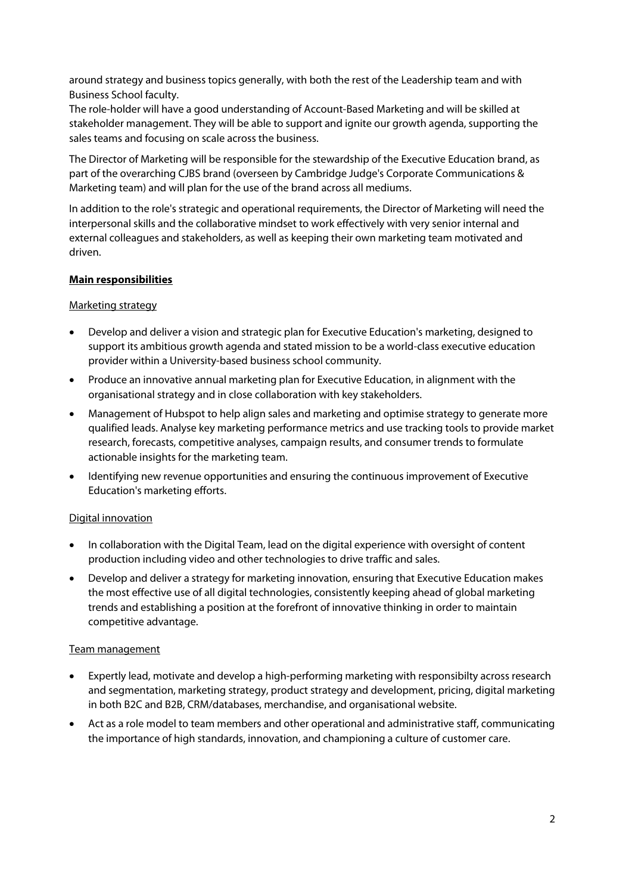around strategy and business topics generally, with both the rest of the Leadership team and with Business School faculty.

The role-holder will have a good understanding of Account-Based Marketing and will be skilled at stakeholder management. They will be able to support and ignite our growth agenda, supporting the sales teams and focusing on scale across the business.

The Director of Marketing will be responsible for the stewardship of the Executive Education brand, as part of the overarching CJBS brand (overseen by Cambridge Judge's Corporate Communications & Marketing team) and will plan for the use of the brand across all mediums.

In addition to the role's strategic and operational requirements, the Director of Marketing will need the interpersonal skills and the collaborative mindset to work effectively with very senior internal and external colleagues and stakeholders, as well as keeping their own marketing team motivated and driven.

## **Main responsibilities**

## Marketing strategy

- Develop and deliver a vision and strategic plan for Executive Education's marketing, designed to support its ambitious growth agenda and stated mission to be a world-class executive education provider within a University-based business school community.
- Produce an innovative annual marketing plan for Executive Education, in alignment with the organisational strategy and in close collaboration with key stakeholders.
- Management of Hubspot to help align sales and marketing and optimise strategy to generate more qualified leads. Analyse key marketing performance metrics and use tracking tools to provide market research, forecasts, competitive analyses, campaign results, and consumer trends to formulate actionable insights for the marketing team.
- Identifying new revenue opportunities and ensuring the continuous improvement of Executive Education's marketing efforts.

## Digital innovation

- In collaboration with the Digital Team, lead on the digital experience with oversight of content production including video and other technologies to drive traffic and sales.
- Develop and deliver a strategy for marketing innovation, ensuring that Executive Education makes the most effective use of all digital technologies, consistently keeping ahead of global marketing trends and establishing a position at the forefront of innovative thinking in order to maintain competitive advantage.

### Team management

- Expertly lead, motivate and develop a high-performing marketing with responsibilty across research and segmentation, marketing strategy, product strategy and development, pricing, digital marketing in both B2C and B2B, CRM/databases, merchandise, and organisational website.
- Act as a role model to team members and other operational and administrative staff, communicating the importance of high standards, innovation, and championing a culture of customer care.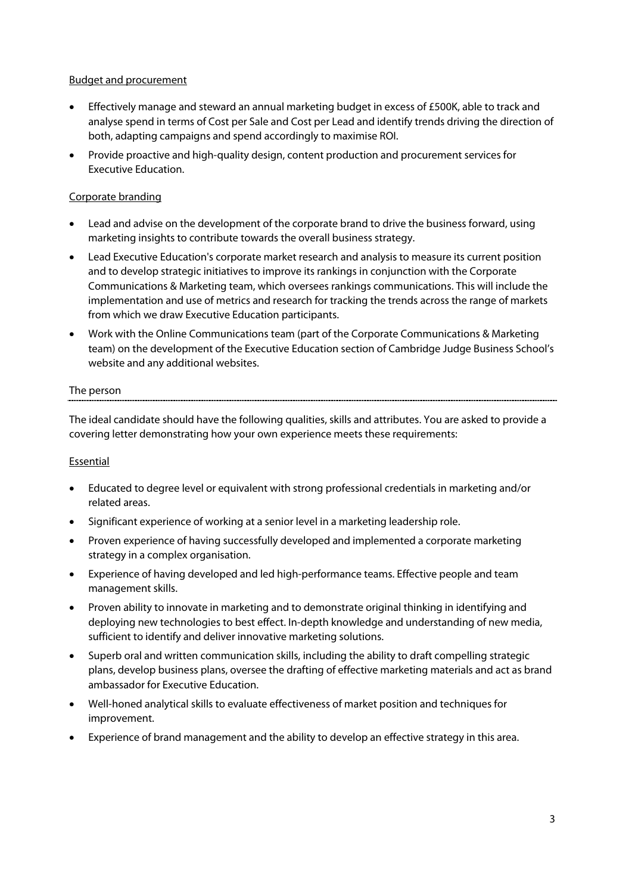## Budget and procurement

- Effectively manage and steward an annual marketing budget in excess of £500K, able to track and analyse spend in terms of Cost per Sale and Cost per Lead and identify trends driving the direction of both, adapting campaigns and spend accordingly to maximise ROI.
- Provide proactive and high-quality design, content production and procurement services for Executive Education.

## Corporate branding

- Lead and advise on the development of the corporate brand to drive the business forward, using marketing insights to contribute towards the overall business strategy.
- Lead Executive Education's corporate market research and analysis to measure its current position and to develop strategic initiatives to improve its rankings in conjunction with the Corporate Communications & Marketing team, which oversees rankings communications. This will include the implementation and use of metrics and research for tracking the trends across the range of markets from which we draw Executive Education participants.
- Work with the Online Communications team (part of the Corporate Communications & Marketing team) on the development of the Executive Education section of Cambridge Judge Business School's website and any additional websites.

## The person

The ideal candidate should have the following qualities, skills and attributes. You are asked to provide a covering letter demonstrating how your own experience meets these requirements:

### Essential

- Educated to degree level or equivalent with strong professional credentials in marketing and/or related areas.
- Significant experience of working at a senior level in a marketing leadership role.
- Proven experience of having successfully developed and implemented a corporate marketing strategy in a complex organisation.
- Experience of having developed and led high-performance teams. Effective people and team management skills.
- Proven ability to innovate in marketing and to demonstrate original thinking in identifying and deploying new technologies to best effect. In-depth knowledge and understanding of new media, sufficient to identify and deliver innovative marketing solutions.
- Superb oral and written communication skills, including the ability to draft compelling strategic plans, develop business plans, oversee the drafting of effective marketing materials and act as brand ambassador for Executive Education.
- Well-honed analytical skills to evaluate effectiveness of market position and techniques for improvement.
- Experience of brand management and the ability to develop an effective strategy in this area.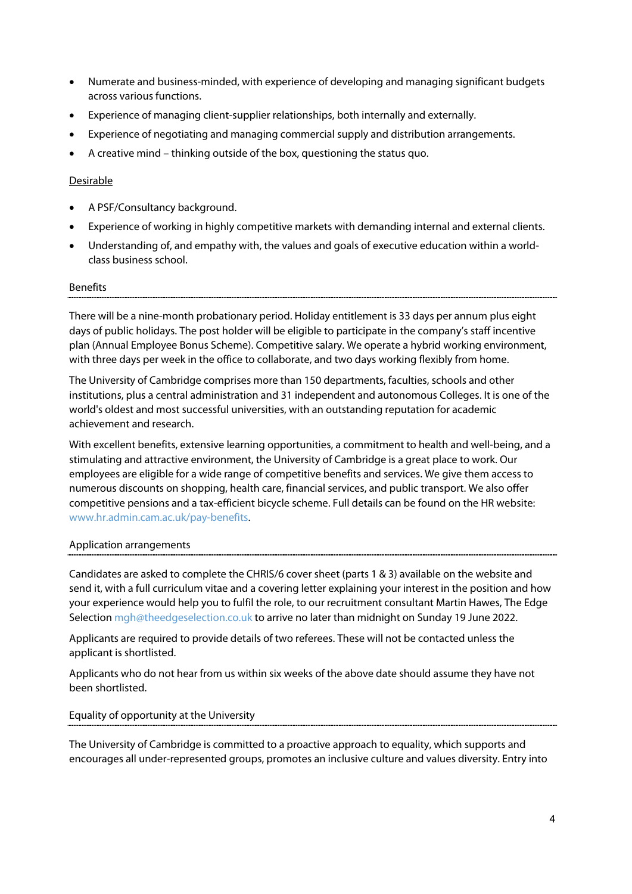- Numerate and business-minded, with experience of developing and managing significant budgets across various functions.
- Experience of managing client-supplier relationships, both internally and externally.
- Experience of negotiating and managing commercial supply and distribution arrangements.
- A creative mind thinking outside of the box, questioning the status quo.

## Desirable

- A PSF/Consultancy background.
- Experience of working in highly competitive markets with demanding internal and external clients.
- Understanding of, and empathy with, the values and goals of executive education within a worldclass business school.

### **Benefits**

There will be a nine-month probationary period. Holiday entitlement is 33 days per annum plus eight days of public holidays. The post holder will be eligible to participate in the company's staff incentive plan (Annual Employee Bonus Scheme). Competitive salary. We operate a hybrid working environment, with three days per week in the office to collaborate, and two days working flexibly from home.

The University of Cambridge comprises more than 150 departments, faculties, schools and other institutions, plus a central administration and 31 independent and autonomous Colleges. It is one of the world's oldest and most successful universities, with an outstanding reputation for academic achievement and research.

With excellent benefits, extensive learning opportunities, a commitment to health and well-being, and a stimulating and attractive environment, the University of Cambridge is a great place to work. Our employees are eligible for a wide range of competitive benefits and services. We give them access to numerous discounts on shopping, health care, financial services, and public transport. We also offer competitive pensions and a tax-efficient bicycle scheme. Full details can be found on the HR website: [www.hr.admin.cam.ac.uk/pay-benefits.](https://www.hr.admin.cam.ac.uk/pay-benefits)

### Application arrangements

Candidates are asked to complete the CHRIS/6 cover sheet (parts 1 & 3) available on the website and send it, with a full curriculum vitae and a covering letter explaining your interest in the position and how your experience would help you to fulfil the role, to our recruitment consultant Martin Hawes, The Edge Selection mgh@theedgeselection.co.uk to arrive no later than midnight on Sunday 19 June 2022.

Applicants are required to provide details of two referees. These will not be contacted unless the applicant is shortlisted.

Applicants who do not hear from us within six weeks of the above date should assume they have not been shortlisted.

Equality of opportunity at the University

The University of Cambridge is committed to a proactive approach to equality, which supports and encourages all under-represented groups, promotes an inclusive culture and values diversity. Entry into